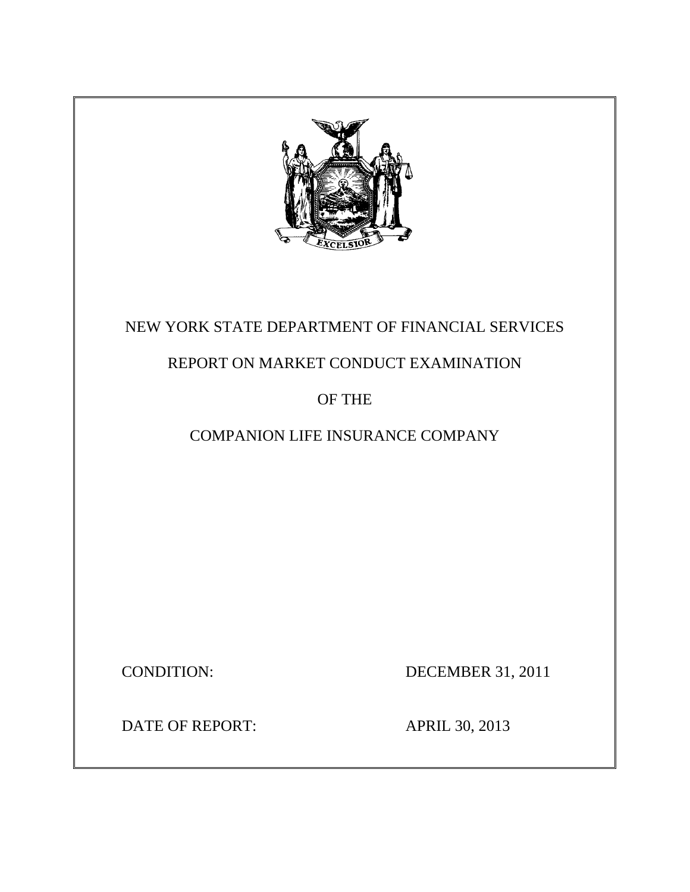

# NEW YORK STATE DEPARTMENT OF FINANCIAL SERVICES

# REPORT ON MARKET CONDUCT EXAMINATION

# OF THE

# COMPANION LIFE INSURANCE COMPANY

CONDITION: DECEMBER 31, 2011

DATE OF REPORT: APRIL 30, 2013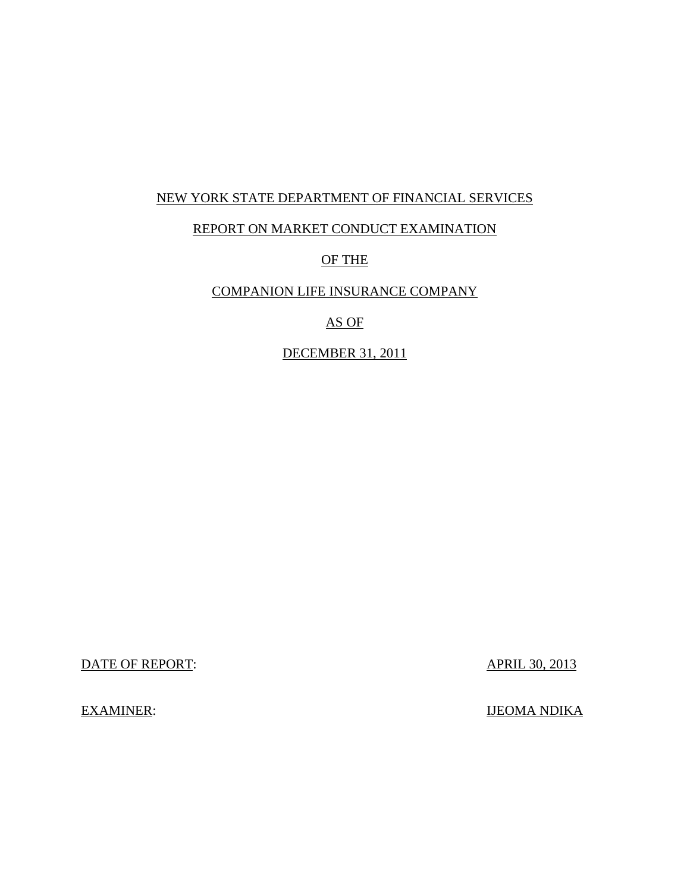## NEW YORK STATE DEPARTMENT OF FINANCIAL SERVICES

## REPORT ON MARKET CONDUCT EXAMINATION

# OF THE

# COMPANION LIFE INSURANCE COMPANY

# AS OF

## DECEMBER 31, 2011

DATE OF REPORT: APRIL 30, 2013

EXAMINER: IJEOMA NDIKA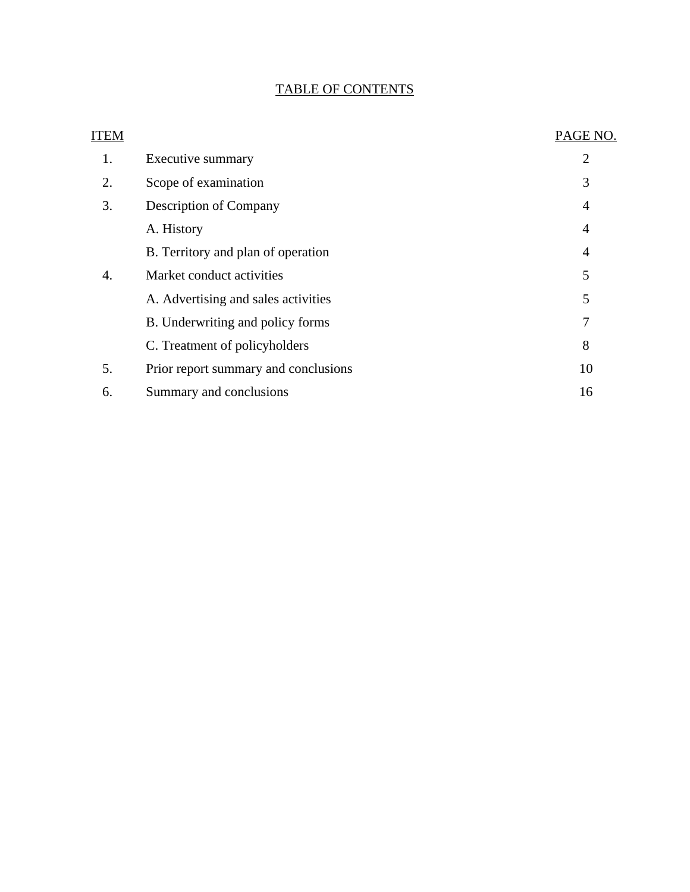# TABLE OF CONTENTS

| ITEM |                                      | PAGE NO.       |
|------|--------------------------------------|----------------|
| 1.   | Executive summary                    | $\overline{2}$ |
| 2.   | Scope of examination                 | 3              |
| 3.   | <b>Description of Company</b>        | $\overline{4}$ |
|      | A. History                           | $\overline{4}$ |
|      | B. Territory and plan of operation   | $\overline{4}$ |
| 4.   | Market conduct activities            | 5              |
|      | A. Advertising and sales activities  | 5              |
|      | B. Underwriting and policy forms     | 7              |
|      | C. Treatment of policyholders        | 8              |
| 5.   | Prior report summary and conclusions | 10             |
| 6.   | Summary and conclusions              | 16             |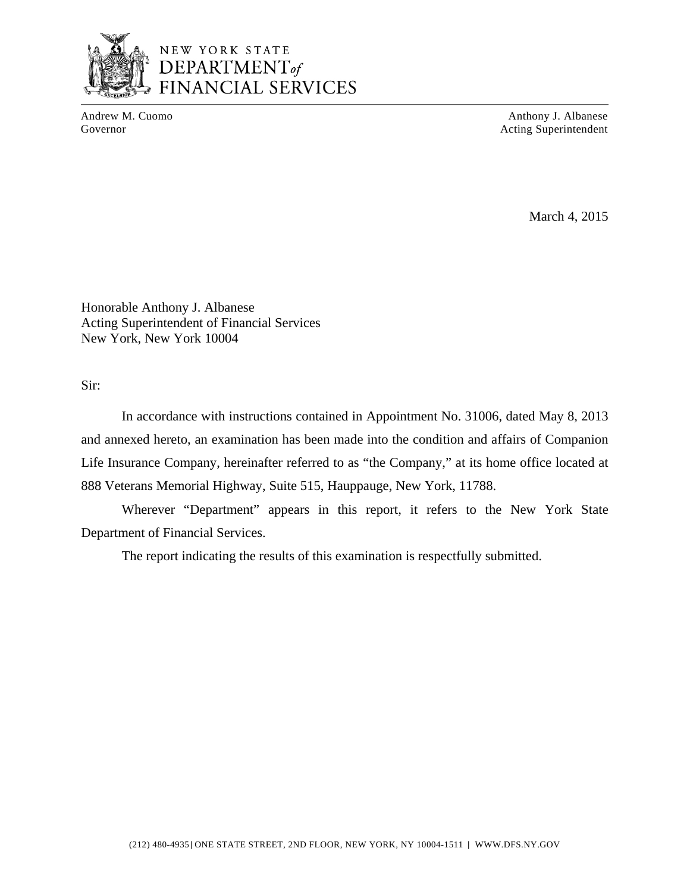

Andrew M. Cuomo Anthony J. Albanese Governor **Acting Superintendent Acting Superintendent** 

March 4, 2015

Honorable Anthony J. Albanese Acting Superintendent of Financial Services New York, New York 10004

Sir:

In accordance with instructions contained in Appointment No. 31006, dated May 8, 2013 and annexed hereto, an examination has been made into the condition and affairs of Companion Life Insurance Company, hereinafter referred to as "the Company," at its home office located at 888 Veterans Memorial Highway, Suite 515, Hauppauge, New York, 11788.

Wherever "Department" appears in this report, it refers to the New York State Department of Financial Services.

The report indicating the results of this examination is respectfully submitted.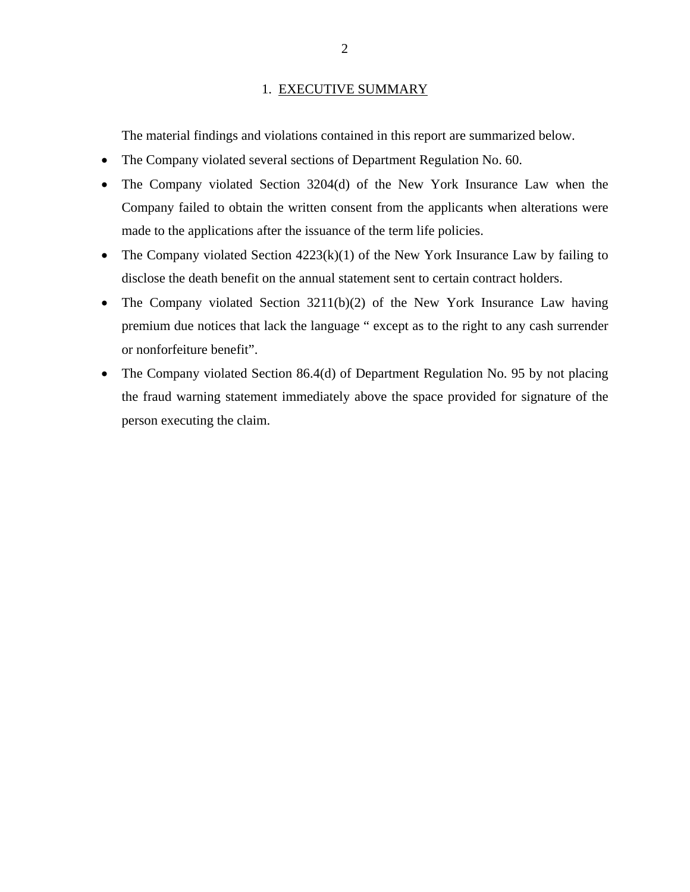#### 1. EXECUTIVE SUMMARY

<span id="page-4-0"></span>The material findings and violations contained in this report are summarized below.

- The Company violated several sections of Department Regulation No. 60.
- The Company violated Section 3204(d) of the New York Insurance Law when the Company failed to obtain the written consent from the applicants when alterations were made to the applications after the issuance of the term life policies.
- The Company violated Section  $4223(k)(1)$  of the New York Insurance Law by failing to disclose the death benefit on the annual statement sent to certain contract holders.
- The Company violated Section 3211(b)(2) of the New York Insurance Law having premium due notices that lack the language " except as to the right to any cash surrender or nonforfeiture benefit".
- The Company violated Section 86.4(d) of Department Regulation No. 95 by not placing the fraud warning statement immediately above the space provided for signature of the person executing the claim.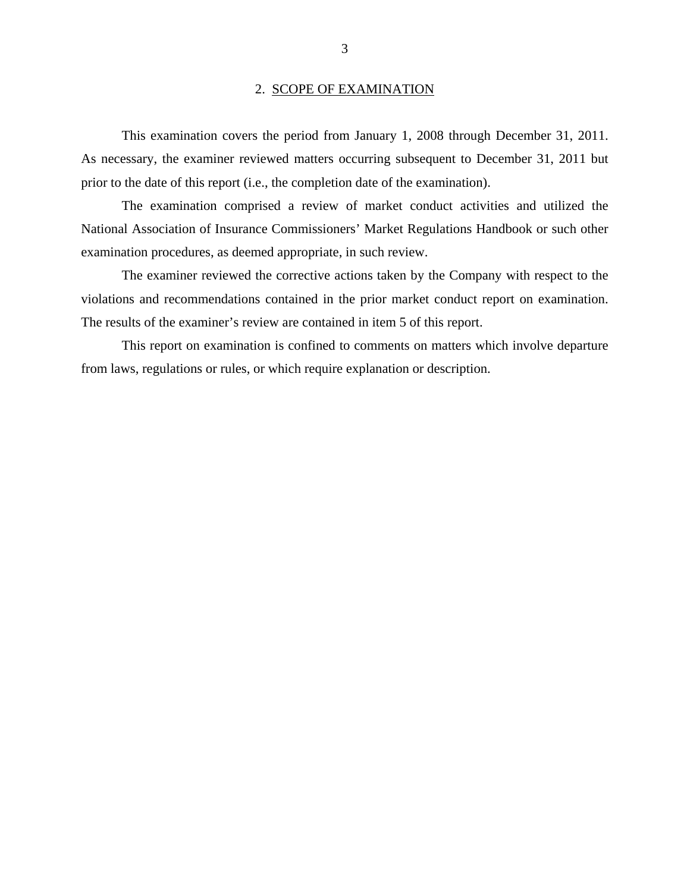#### 2. SCOPE OF EXAMINATION

<span id="page-5-0"></span>This examination covers the period from January 1, 2008 through December 31, 2011. As necessary, the examiner reviewed matters occurring subsequent to December 31, 2011 but prior to the date of this report (i.e., the completion date of the examination).

The examination comprised a review of market conduct activities and utilized the National Association of Insurance Commissioners' Market Regulations Handbook or such other examination procedures, as deemed appropriate, in such review.

The examiner reviewed the corrective actions taken by the Company with respect to the violations and recommendations contained in the prior market conduct report on examination. The results of the examiner's review are contained in item 5 of this report.

This report on examination is confined to comments on matters which involve departure from laws, regulations or rules, or which require explanation or description.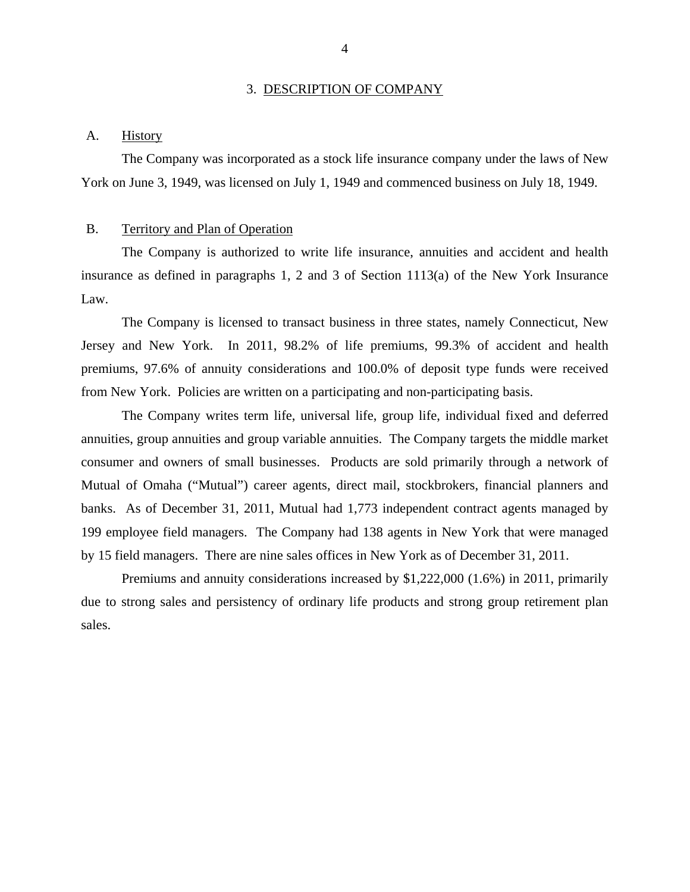#### 3. DESCRIPTION OF COMPANY

#### <span id="page-6-0"></span>A. History

The Company was incorporated as a stock life insurance company under the laws of New York on June 3, 1949, was licensed on July 1, 1949 and commenced business on July 18, 1949.

#### B. Territory and Plan of Operation

The Company is authorized to write life insurance, annuities and accident and health insurance as defined in paragraphs 1, 2 and 3 of Section 1113(a) of the New York Insurance Law.

from New York. Policies are written on a participating and non-participating basis. The Company is licensed to transact business in three states, namely Connecticut, New Jersey and New York. In 2011, 98.2% of life premiums, 99.3% of accident and health premiums, 97.6% of annuity considerations and 100.0% of deposit type funds were received

The Company writes term life, universal life, group life, individual fixed and deferred annuities, group annuities and group variable annuities. The Company targets the middle market consumer and owners of small businesses. Products are sold primarily through a network of Mutual of Omaha ("Mutual") career agents, direct mail, stockbrokers, financial planners and banks. As of December 31, 2011, Mutual had 1,773 independent contract agents managed by 199 employee field managers. The Company had 138 agents in New York that were managed by 15 field managers. There are nine sales offices in New York as of December 31, 2011.

Premiums and annuity considerations increased by \$1,222,000 (1.6%) in 2011, primarily due to strong sales and persistency of ordinary life products and strong group retirement plan sales.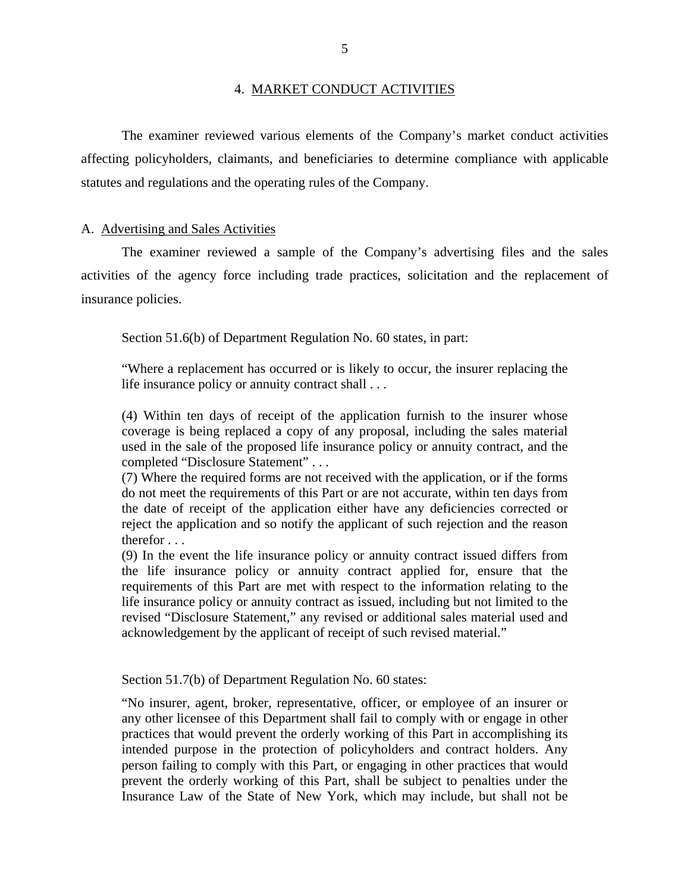#### 4. MARKET CONDUCT ACTIVITIES

<span id="page-7-0"></span>The examiner reviewed various elements of the Company's market conduct activities affecting policyholders, claimants, and beneficiaries to determine compliance with applicable statutes and regulations and the operating rules of the Company.

#### A. Advertising and Sales Activities

The examiner reviewed a sample of the Company's advertising files and the sales activities of the agency force including trade practices, solicitation and the replacement of insurance policies.

Section 51.6(b) of Department Regulation No. 60 states, in part:

"Where a replacement has occurred or is likely to occur, the insurer replacing the life insurance policy or annuity contract shall . . .

(4) Within ten days of receipt of the application furnish to the insurer whose coverage is being replaced a copy of any proposal, including the sales material used in the sale of the proposed life insurance policy or annuity contract, and the completed "Disclosure Statement" . . .

(7) Where the required forms are not received with the application, or if the forms do not meet the requirements of this Part or are not accurate, within ten days from the date of receipt of the application either have any deficiencies corrected or reject the application and so notify the applicant of such rejection and the reason therefor . . .

(9) In the event the life insurance policy or annuity contract issued differs from the life insurance policy or annuity contract applied for, ensure that the requirements of this Part are met with respect to the information relating to the life insurance policy or annuity contract as issued, including but not limited to the revised "Disclosure Statement," any revised or additional sales material used and acknowledgement by the applicant of receipt of such revised material."

Section 51.7(b) of Department Regulation No. 60 states:

"No insurer, agent, broker, representative, officer, or employee of an insurer or any other licensee of this Department shall fail to comply with or engage in other practices that would prevent the orderly working of this Part in accomplishing its intended purpose in the protection of policyholders and contract holders. Any person failing to comply with this Part, or engaging in other practices that would prevent the orderly working of this Part, shall be subject to penalties under the Insurance Law of the State of New York, which may include, but shall not be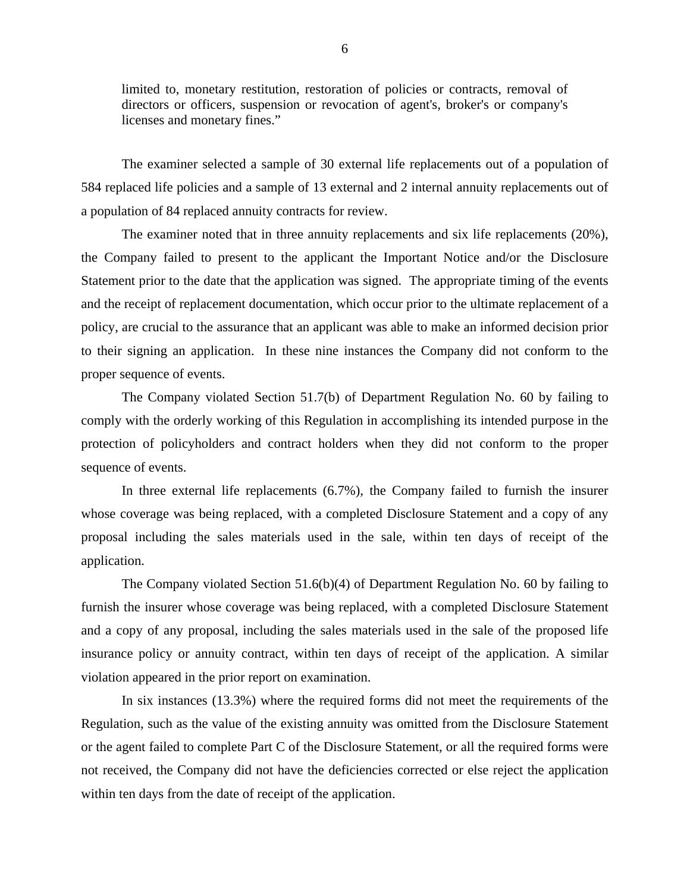limited to, monetary restitution, restoration of policies or contracts, removal of directors or officers, suspension or revocation of agent's, broker's or company's licenses and monetary fines."

The examiner selected a sample of 30 external life replacements out of a population of 584 replaced life policies and a sample of 13 external and 2 internal annuity replacements out of a population of 84 replaced annuity contracts for review.

The examiner noted that in three annuity replacements and six life replacements (20%), the Company failed to present to the applicant the Important Notice and/or the Disclosure Statement prior to the date that the application was signed. The appropriate timing of the events and the receipt of replacement documentation, which occur prior to the ultimate replacement of a policy, are crucial to the assurance that an applicant was able to make an informed decision prior to their signing an application. In these nine instances the Company did not conform to the proper sequence of events.

The Company violated Section 51.7(b) of Department Regulation No. 60 by failing to comply with the orderly working of this Regulation in accomplishing its intended purpose in the protection of policyholders and contract holders when they did not conform to the proper sequence of events.

In three external life replacements (6.7%), the Company failed to furnish the insurer whose coverage was being replaced, with a completed Disclosure Statement and a copy of any proposal including the sales materials used in the sale, within ten days of receipt of the application.

The Company violated Section 51.6(b)(4) of Department Regulation No. 60 by failing to furnish the insurer whose coverage was being replaced, with a completed Disclosure Statement and a copy of any proposal, including the sales materials used in the sale of the proposed life insurance policy or annuity contract, within ten days of receipt of the application. A similar violation appeared in the prior report on examination.

In six instances (13.3%) where the required forms did not meet the requirements of the Regulation, such as the value of the existing annuity was omitted from the Disclosure Statement or the agent failed to complete Part C of the Disclosure Statement, or all the required forms were not received, the Company did not have the deficiencies corrected or else reject the application within ten days from the date of receipt of the application.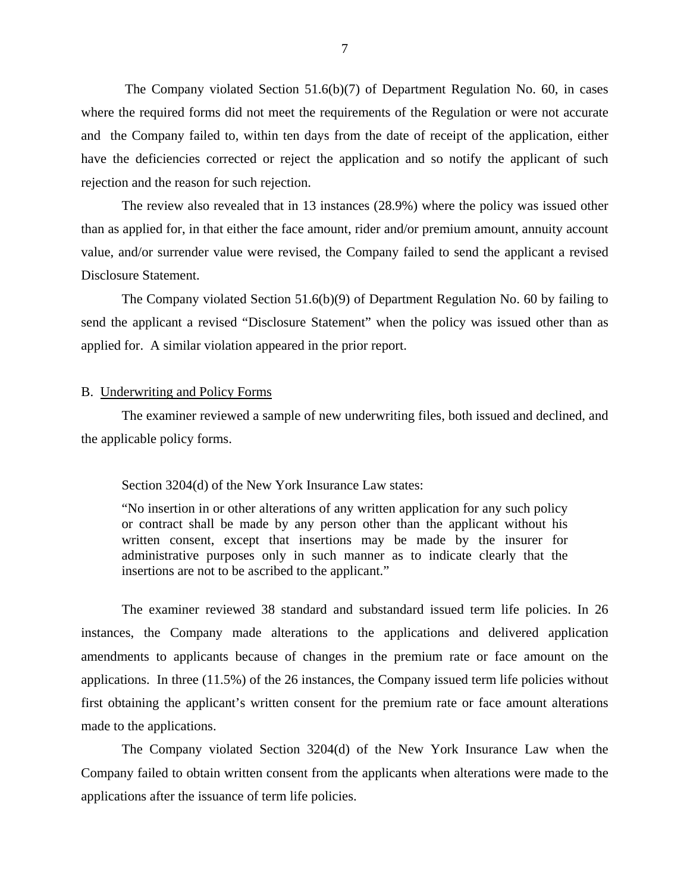<span id="page-9-0"></span>The Company violated Section  $51.6(b)(7)$  of Department Regulation No. 60, in cases where the required forms did not meet the requirements of the Regulation or were not accurate and the Company failed to, within ten days from the date of receipt of the application, either have the deficiencies corrected or reject the application and so notify the applicant of such rejection and the reason for such rejection.

The review also revealed that in 13 instances (28.9%) where the policy was issued other than as applied for, in that either the face amount, rider and/or premium amount, annuity account value, and/or surrender value were revised, the Company failed to send the applicant a revised Disclosure Statement.

The Company violated Section 51.6(b)(9) of Department Regulation No. 60 by failing to send the applicant a revised "Disclosure Statement" when the policy was issued other than as applied for. A similar violation appeared in the prior report.

#### B. Underwriting and Policy Forms

The examiner reviewed a sample of new underwriting files, both issued and declined, and the applicable policy forms.

#### Section 3204(d) of the New York Insurance Law states:

"No insertion in or other alterations of any written application for any such policy or contract shall be made by any person other than the applicant without his written consent, except that insertions may be made by the insurer for administrative purposes only in such manner as to indicate clearly that the insertions are not to be ascribed to the applicant."

The examiner reviewed 38 standard and substandard issued term life policies. In 26 instances, the Company made alterations to the applications and delivered application amendments to applicants because of changes in the premium rate or face amount on the applications. In three (11.5%) of the 26 instances, the Company issued term life policies without first obtaining the applicant's written consent for the premium rate or face amount alterations made to the applications.

 applications after the issuance of term life policies. The Company violated Section 3204(d) of the New York Insurance Law when the Company failed to obtain written consent from the applicants when alterations were made to the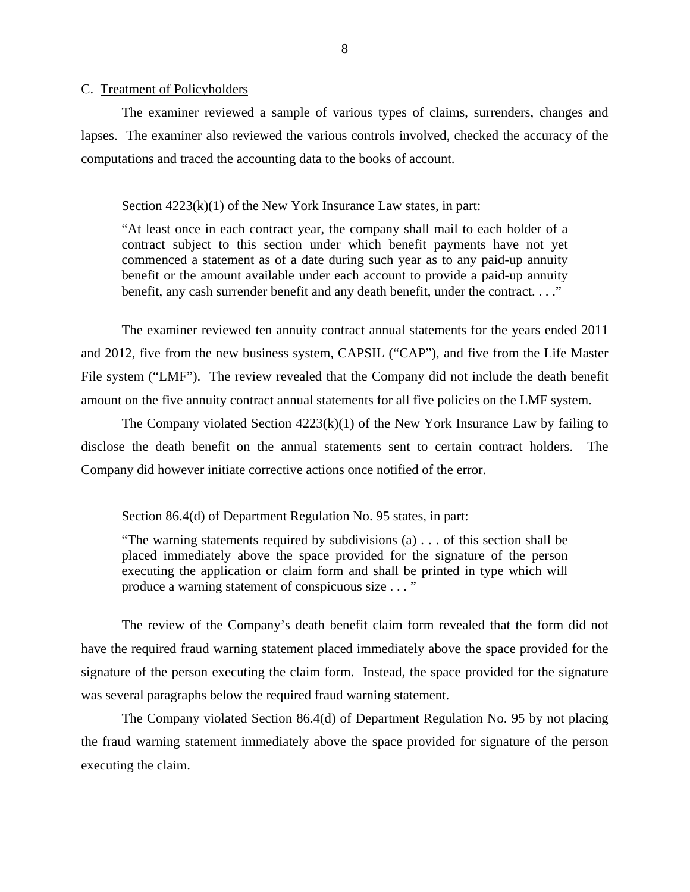#### <span id="page-10-0"></span>C. Treatment of Policyholders

The examiner reviewed a sample of various types of claims, surrenders, changes and lapses. The examiner also reviewed the various controls involved, checked the accuracy of the computations and traced the accounting data to the books of account.

Section  $4223(k)(1)$  of the New York Insurance Law states, in part:

"At least once in each contract year, the company shall mail to each holder of a contract subject to this section under which benefit payments have not yet commenced a statement as of a date during such year as to any paid-up annuity benefit or the amount available under each account to provide a paid-up annuity benefit, any cash surrender benefit and any death benefit, under the contract. . . ."

The examiner reviewed ten annuity contract annual statements for the years ended 2011 and 2012, five from the new business system, CAPSIL ("CAP"), and five from the Life Master File system ("LMF"). The review revealed that the Company did not include the death benefit amount on the five annuity contract annual statements for all five policies on the LMF system.

The Company violated Section 4223(k)(1) of the New York Insurance Law by failing to disclose the death benefit on the annual statements sent to certain contract holders. The Company did however initiate corrective actions once notified of the error.

Section 86.4(d) of Department Regulation No. 95 states, in part:

"The warning statements required by subdivisions (a) . . . of this section shall be placed immediately above the space provided for the signature of the person executing the application or claim form and shall be printed in type which will produce a warning statement of conspicuous size . . . "

The review of the Company's death benefit claim form revealed that the form did not have the required fraud warning statement placed immediately above the space provided for the signature of the person executing the claim form. Instead, the space provided for the signature was several paragraphs below the required fraud warning statement.

The Company violated Section 86.4(d) of Department Regulation No. 95 by not placing the fraud warning statement immediately above the space provided for signature of the person executing the claim.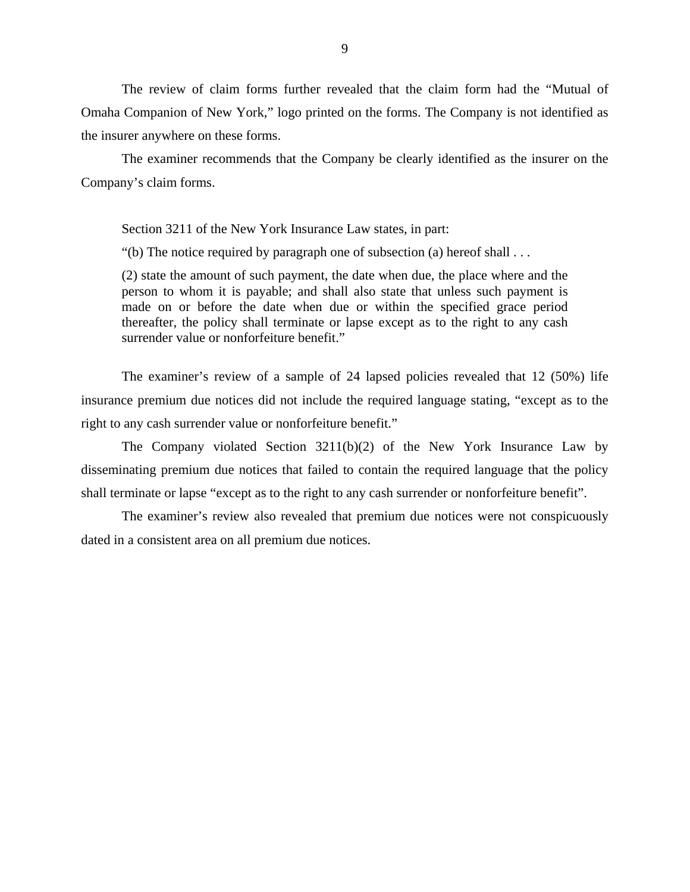The review of claim forms further revealed that the claim form had the "Mutual of Omaha Companion of New York," logo printed on the forms. The Company is not identified as the insurer anywhere on these forms.

The examiner recommends that the Company be clearly identified as the insurer on the Company's claim forms.

Section 3211 of the New York Insurance Law states, in part:

"(b) The notice required by paragraph one of subsection (a) hereof shall  $\dots$ 

(2) state the amount of such payment, the date when due, the place where and the person to whom it is payable; and shall also state that unless such payment is made on or before the date when due or within the specified grace period thereafter, the policy shall terminate or lapse except as to the right to any cash surrender value or nonforfeiture benefit."

The examiner's review of a sample of 24 lapsed policies revealed that 12 (50%) life insurance premium due notices did not include the required language stating, "except as to the right to any cash surrender value or nonforfeiture benefit."

The Company violated Section 3211(b)(2) of the New York Insurance Law by disseminating premium due notices that failed to contain the required language that the policy shall terminate or lapse "except as to the right to any cash surrender or nonforfeiture benefit".

The examiner's review also revealed that premium due notices were not conspicuously dated in a consistent area on all premium due notices.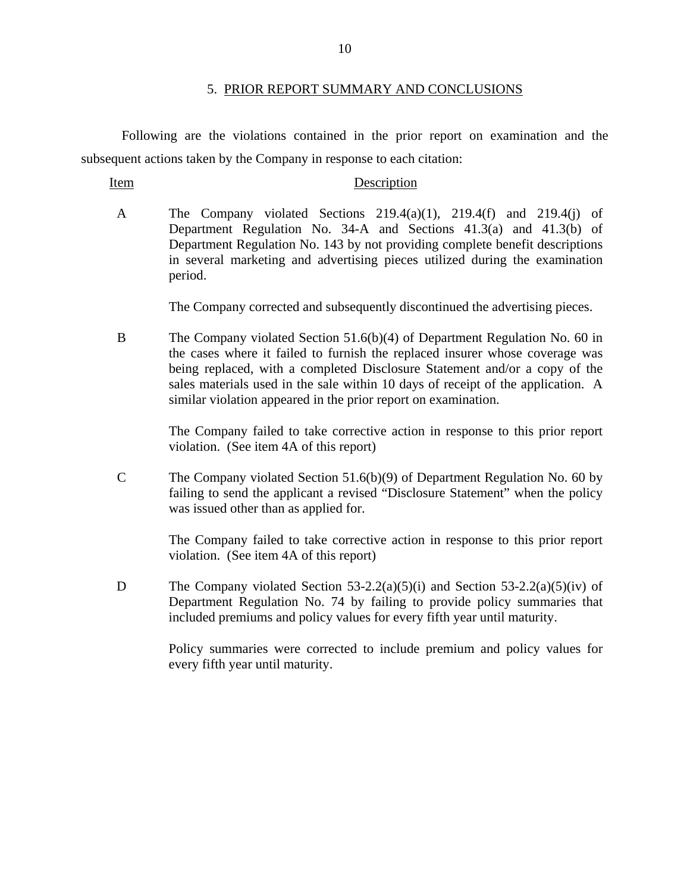#### 5. PRIOR REPORT SUMMARY AND CONCLUSIONS

<span id="page-12-0"></span>Following are the violations contained in the prior report on examination and the subsequent actions taken by the Company in response to each citation:

#### Item Description

A The Company violated Sections  $219.4(a)(1)$ ,  $219.4(f)$  and  $219.4(i)$  of Department Regulation No. 34-A and Sections 41.3(a) and 41.3(b) of Department Regulation No. 143 by not providing complete benefit descriptions in several marketing and advertising pieces utilized during the examination period.

The Company corrected and subsequently discontinued the advertising pieces.

B The Company violated Section 51.6(b)(4) of Department Regulation No. 60 in the cases where it failed to furnish the replaced insurer whose coverage was being replaced, with a completed Disclosure Statement and/or a copy of the sales materials used in the sale within 10 days of receipt of the application. A similar violation appeared in the prior report on examination.

> The Company failed to take corrective action in response to this prior report violation. (See item 4A of this report)

C The Company violated Section 51.6(b)(9) of Department Regulation No. 60 by failing to send the applicant a revised "Disclosure Statement" when the policy was issued other than as applied for.

> The Company failed to take corrective action in response to this prior report violation. (See item 4A of this report)

D The Company violated Section  $53-2.2(a)(5)(i)$  and Section  $53-2.2(a)(5)(iv)$  of Department Regulation No. 74 by failing to provide policy summaries that included premiums and policy values for every fifth year until maturity.

> Policy summaries were corrected to include premium and policy values for every fifth year until maturity.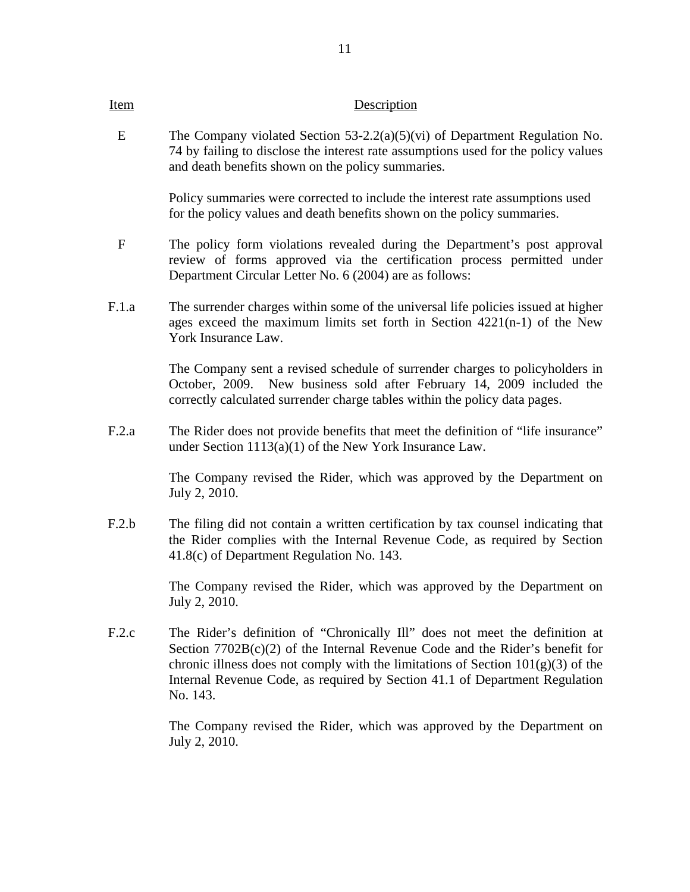E The Company violated Section 53-2.2(a)(5)(vi) of Department Regulation No. 74 by failing to disclose the interest rate assumptions used for the policy values and death benefits shown on the policy summaries.

> Policy summaries were corrected to include the interest rate assumptions used for the policy values and death benefits shown on the policy summaries.

- F The policy form violations revealed during the Department's post approval review of forms approved via the certification process permitted under Department Circular Letter No. 6 (2004) are as follows:
- F.1.a The surrender charges within some of the universal life policies issued at higher ages exceed the maximum limits set forth in Section 4221(n-1) of the New York Insurance Law.

The Company sent a revised schedule of surrender charges to policyholders in October, 2009. New business sold after February 14, 2009 included the correctly calculated surrender charge tables within the policy data pages.

F.2.a The Rider does not provide benefits that meet the definition of "life insurance" under Section 1113(a)(1) of the New York Insurance Law.

> The Company revised the Rider, which was approved by the Department on July 2, 2010.

F.2.b The filing did not contain a written certification by tax counsel indicating that the Rider complies with the Internal Revenue Code, as required by Section 41.8(c) of Department Regulation No. 143.

> The Company revised the Rider, which was approved by the Department on July 2, 2010.

F.2.c The Rider's definition of "Chronically Ill" does not meet the definition at Section  $7702B(c)(2)$  of the Internal Revenue Code and the Rider's benefit for chronic illness does not comply with the limitations of Section  $101(g)(3)$  of the Internal Revenue Code, as required by Section 41.1 of Department Regulation No. 143.

> The Company revised the Rider, which was approved by the Department on July 2, 2010.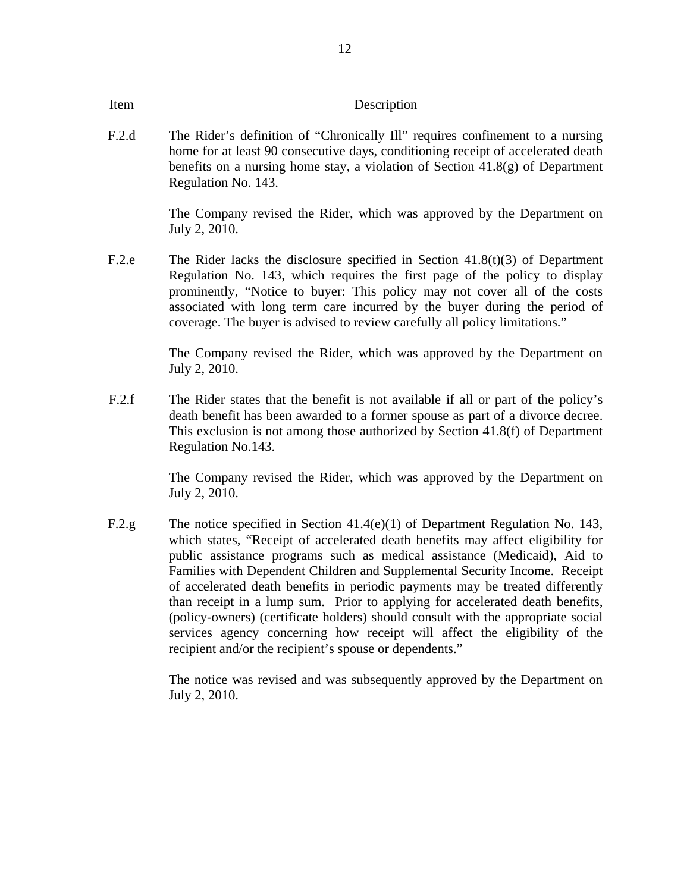F.2.d The Rider's definition of "Chronically Ill" requires confinement to a nursing home for at least 90 consecutive days, conditioning receipt of accelerated death benefits on a nursing home stay, a violation of Section 41.8(g) of Department Regulation No. 143.

> The Company revised the Rider, which was approved by the Department on July 2, 2010.

F.2.e The Rider lacks the disclosure specified in Section 41.8(t)(3) of Department Regulation No. 143, which requires the first page of the policy to display prominently, "Notice to buyer: This policy may not cover all of the costs associated with long term care incurred by the buyer during the period of coverage. The buyer is advised to review carefully all policy limitations."

> The Company revised the Rider, which was approved by the Department on July 2, 2010.

F.2.f The Rider states that the benefit is not available if all or part of the policy's death benefit has been awarded to a former spouse as part of a divorce decree. This exclusion is not among those authorized by Section 41.8(f) of Department Regulation No.143.

> The Company revised the Rider, which was approved by the Department on July 2, 2010.

F.2.g The notice specified in Section 41.4(e)(1) of Department Regulation No. 143, which states, "Receipt of accelerated death benefits may affect eligibility for public assistance programs such as medical assistance (Medicaid), Aid to Families with Dependent Children and Supplemental Security Income. Receipt of accelerated death benefits in periodic payments may be treated differently than receipt in a lump sum. Prior to applying for accelerated death benefits, (policy-owners) (certificate holders) should consult with the appropriate social services agency concerning how receipt will affect the eligibility of the recipient and/or the recipient's spouse or dependents."

> The notice was revised and was subsequently approved by the Department on July 2, 2010.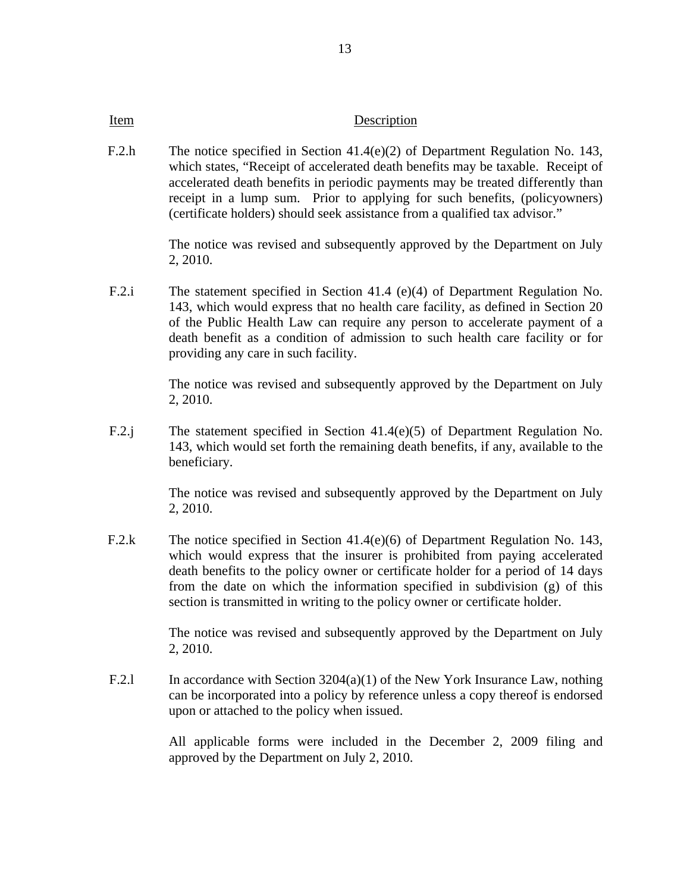F.2.h The notice specified in Section 41.4(e)(2) of Department Regulation No. 143, which states, "Receipt of accelerated death benefits may be taxable. Receipt of accelerated death benefits in periodic payments may be treated differently than receipt in a lump sum. Prior to applying for such benefits, (policyowners) (certificate holders) should seek assistance from a qualified tax advisor."

> The notice was revised and subsequently approved by the Department on July 2, 2010.

F.2.i The statement specified in Section 41.4 (e)(4) of Department Regulation No. 143, which would express that no health care facility, as defined in Section 20 of the Public Health Law can require any person to accelerate payment of a death benefit as a condition of admission to such health care facility or for providing any care in such facility.

> The notice was revised and subsequently approved by the Department on July 2, 2010.

F.2.j The statement specified in Section 41.4(e)(5) of Department Regulation No. 143, which would set forth the remaining death benefits, if any, available to the beneficiary.

> The notice was revised and subsequently approved by the Department on July 2, 2010.

F.2.k The notice specified in Section 41.4(e)(6) of Department Regulation No. 143, which would express that the insurer is prohibited from paying accelerated death benefits to the policy owner or certificate holder for a period of 14 days from the date on which the information specified in subdivision (g) of this section is transmitted in writing to the policy owner or certificate holder.

> The notice was revised and subsequently approved by the Department on July 2, 2010.

F.2.l In accordance with Section 3204(a)(1) of the New York Insurance Law, nothing can be incorporated into a policy by reference unless a copy thereof is endorsed upon or attached to the policy when issued.

> All applicable forms were included in the December 2, 2009 filing and approved by the Department on July 2, 2010.

13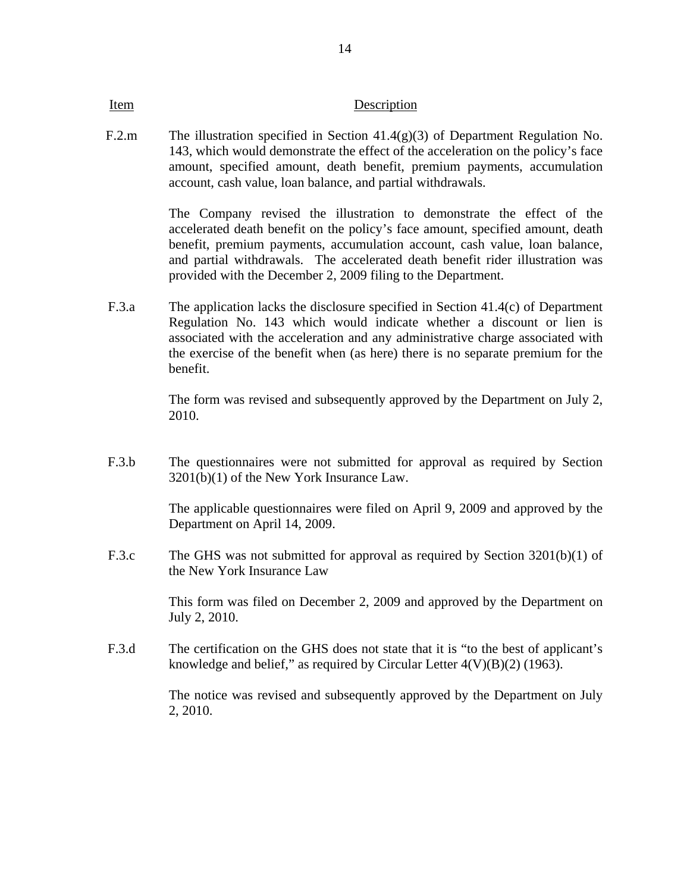F.2.m The illustration specified in Section 41.4(g)(3) of Department Regulation No. 143, which would demonstrate the effect of the acceleration on the policy's face amount, specified amount, death benefit, premium payments, accumulation account, cash value, loan balance, and partial withdrawals.

> The Company revised the illustration to demonstrate the effect of the accelerated death benefit on the policy's face amount, specified amount, death benefit, premium payments, accumulation account, cash value, loan balance, and partial withdrawals. The accelerated death benefit rider illustration was provided with the December 2, 2009 filing to the Department.

F.3.a The application lacks the disclosure specified in Section 41.4(c) of Department Regulation No. 143 which would indicate whether a discount or lien is associated with the acceleration and any administrative charge associated with the exercise of the benefit when (as here) there is no separate premium for the benefit.

> The form was revised and subsequently approved by the Department on July 2, 2010.

F.3.b The questionnaires were not submitted for approval as required by Section 3201(b)(1) of the New York Insurance Law.

> The applicable questionnaires were filed on April 9, 2009 and approved by the Department on April 14, 2009.

F.3.c The GHS was not submitted for approval as required by Section 3201(b)(1) of the New York Insurance Law

> This form was filed on December 2, 2009 and approved by the Department on July 2, 2010.

F.3.d The certification on the GHS does not state that it is "to the best of applicant's knowledge and belief," as required by Circular Letter  $4(V)(B)(2)$  (1963).

> The notice was revised and subsequently approved by the Department on July 2, 2010.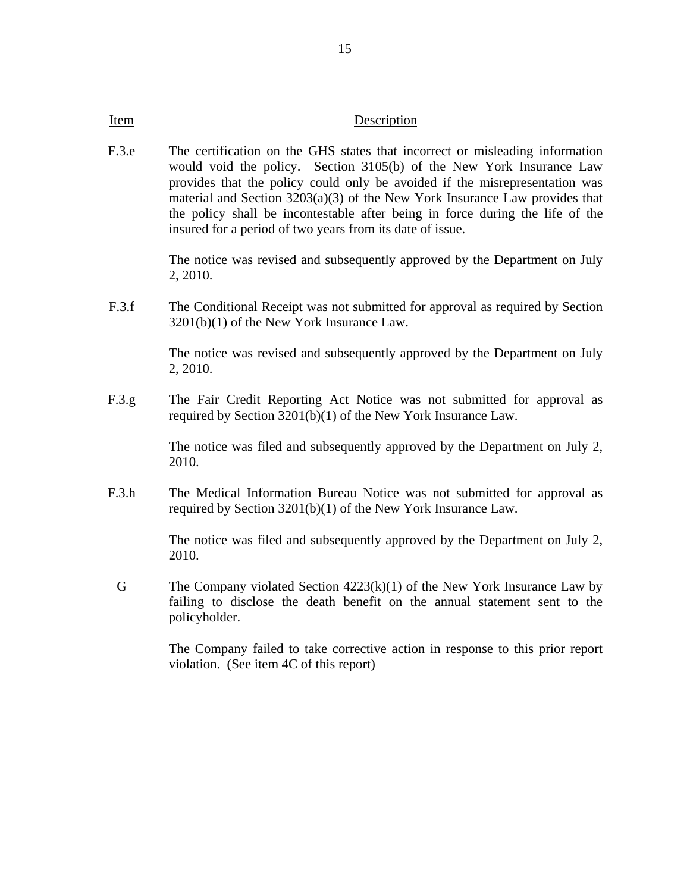F.3.e The certification on the GHS states that incorrect or misleading information would void the policy. Section 3105(b) of the New York Insurance Law provides that the policy could only be avoided if the misrepresentation was material and Section 3203(a)(3) of the New York Insurance Law provides that the policy shall be incontestable after being in force during the life of the insured for a period of two years from its date of issue.

> The notice was revised and subsequently approved by the Department on July 2, 2010.

F.3.f The Conditional Receipt was not submitted for approval as required by Section 3201(b)(1) of the New York Insurance Law.

> The notice was revised and subsequently approved by the Department on July 2, 2010.

F.3.g The Fair Credit Reporting Act Notice was not submitted for approval as required by Section 3201(b)(1) of the New York Insurance Law.

> The notice was filed and subsequently approved by the Department on July 2, 2010.

F.3.h The Medical Information Bureau Notice was not submitted for approval as required by Section 3201(b)(1) of the New York Insurance Law.

> The notice was filed and subsequently approved by the Department on July 2, 2010.

G The Company violated Section  $4223(k)(1)$  of the New York Insurance Law by failing to disclose the death benefit on the annual statement sent to the policyholder.

> The Company failed to take corrective action in response to this prior report violation. (See item 4C of this report)

15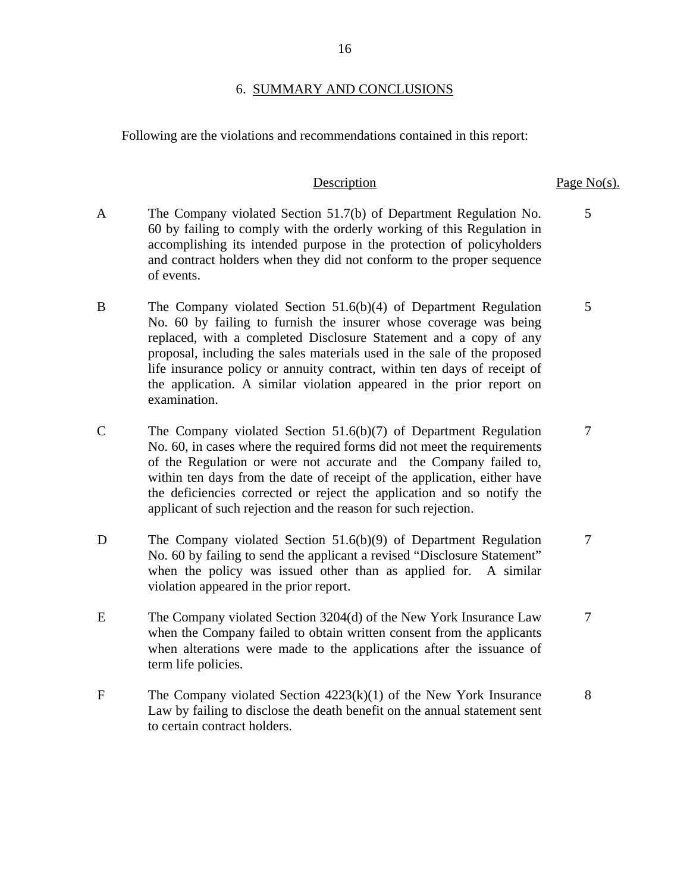#### 6. SUMMARY AND CONCLUSIONS

Following are the violations and recommendations contained in this report:

- A The Company violated Section 51.7(b) of Department Regulation No. 60 by failing to comply with the orderly working of this Regulation in accomplishing its intended purpose in the protection of policyholders and contract holders when they did not conform to the proper sequence of events.
- B The Company violated Section 51.6(b)(4) of Department Regulation No. 60 by failing to furnish the insurer whose coverage was being replaced, with a completed Disclosure Statement and a copy of any proposal, including the sales materials used in the sale of the proposed life insurance policy or annuity contract, within ten days of receipt of the application. A similar violation appeared in the prior report on examination.
- C The Company violated Section 51.6(b)(7) of Department Regulation No. 60, in cases where the required forms did not meet the requirements of the Regulation or were not accurate and the Company failed to, within ten days from the date of receipt of the application, either have the deficiencies corrected or reject the application and so notify the applicant of such rejection and the reason for such rejection.
- D The Company violated Section 51.6(b)(9) of Department Regulation No. 60 by failing to send the applicant a revised "Disclosure Statement" when the policy was issued other than as applied for. A similar violation appeared in the prior report. 7
- E The Company violated Section 3204(d) of the New York Insurance Law when the Company failed to obtain written consent from the applicants when alterations were made to the applications after the issuance of term life policies.
- F The Company violated Section 4223(k)(1) of the New York Insurance Law by failing to disclose the death benefit on the annual statement sent to certain contract holders. 8

#### Description Page No(s).

5

5

7

7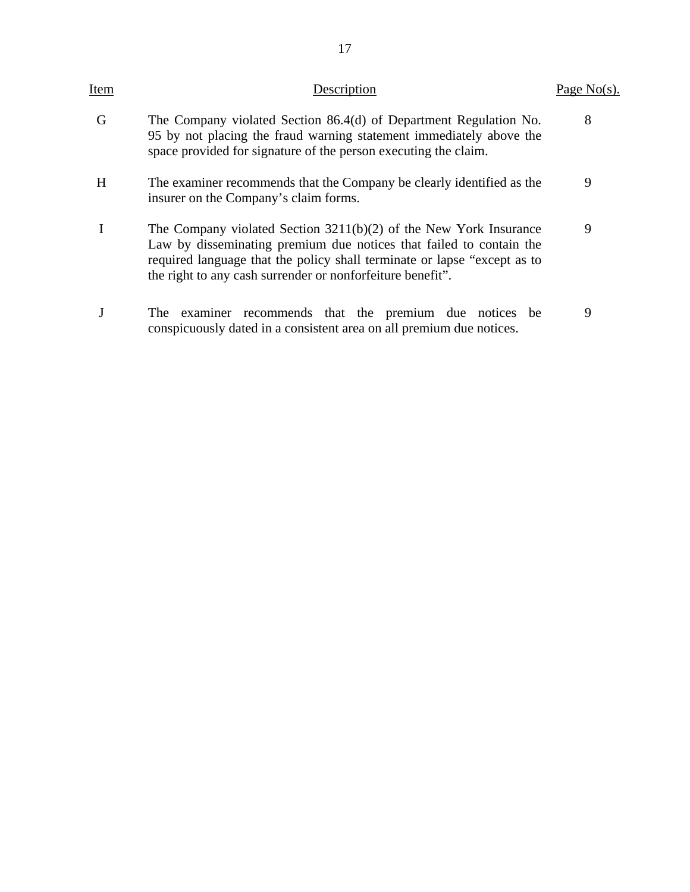| Item | Description                                                                                                                                                                                                                                                                          | Page $No(s)$ . |
|------|--------------------------------------------------------------------------------------------------------------------------------------------------------------------------------------------------------------------------------------------------------------------------------------|----------------|
| G    | The Company violated Section 86.4(d) of Department Regulation No.<br>95 by not placing the fraud warning statement immediately above the<br>space provided for signature of the person executing the claim.                                                                          | 8              |
| H    | The examiner recommends that the Company be clearly identified as the<br>insurer on the Company's claim forms.                                                                                                                                                                       | 9              |
|      | The Company violated Section $3211(b)(2)$ of the New York Insurance<br>Law by disseminating premium due notices that failed to contain the<br>required language that the policy shall terminate or lapse "except as to<br>the right to any cash surrender or nonforfeiture benefit". | 9              |
|      | examiner recommends that the premium due notices be<br>The<br>conspicuously dated in a consistent area on all premium due notices.                                                                                                                                                   | 9              |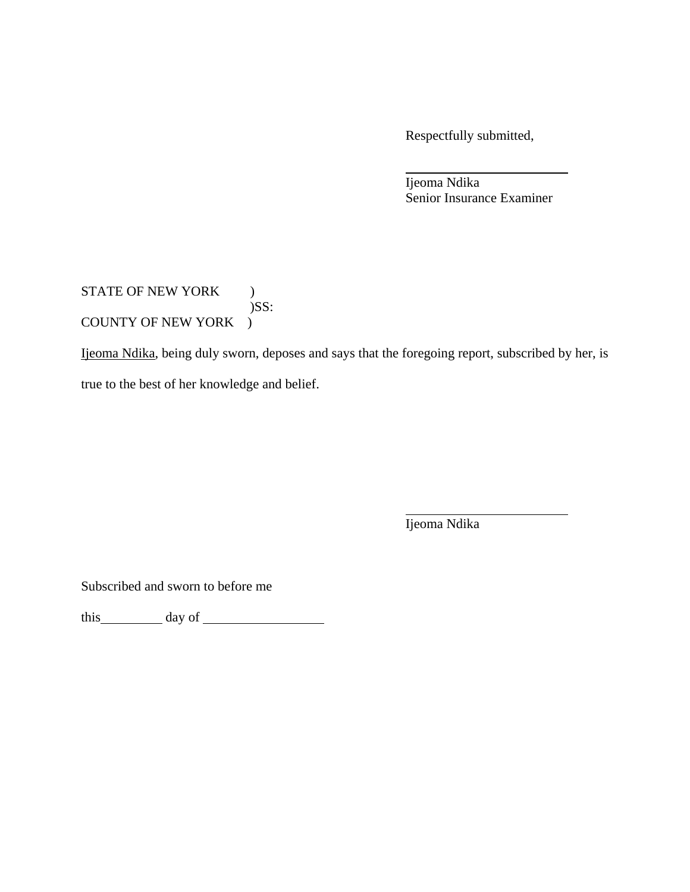Respectfully submitted,

 Ijeoma Ndika Senior Insurance Examiner

# STATE OF NEW YORK )  $)$ SS: COUNTY OF NEW YORK )

Ijeoma Ndika, being duly sworn, deposes and says that the foregoing report, subscribed by her, is true to the best of her knowledge and belief.

Ijeoma Ndika

Subscribed and sworn to before me

this day of